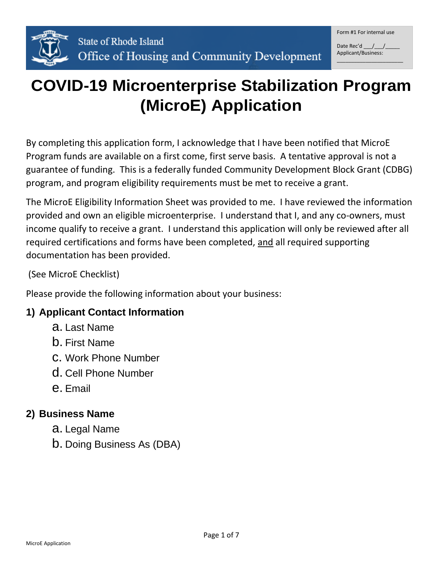

Date Rec'd  $/$  / Applicant/Business:

\_\_\_\_\_\_\_\_\_\_\_\_\_\_\_\_\_\_\_\_\_\_\_

# **COVID-19 Microenterprise Stabilization Program (MicroE) Application**

By completing this application form, I acknowledge that I have been notified that MicroE Program funds are available on a first come, first serve basis. A tentative approval is not a guarantee of funding. This is a federally funded Community Development Block Grant (CDBG) program, and program eligibility requirements must be met to receive a grant.

The MicroE Eligibility Information Sheet was provided to me. I have reviewed the information provided and own an eligible microenterprise. I understand that I, and any co-owners, must income qualify to receive a grant. I understand this application will only be reviewed after all required certifications and forms have been completed, and all required supporting documentation has been provided.

(See MicroE Checklist)

Please provide the following information about your business:

#### **1) Applicant Contact Information**

- a. Last Name
- b. First Name
- c. Work Phone Number
- d. Cell Phone Number
- e. Email

#### **2) Business Name**

- a. Legal Name
- b. Doing Business As (DBA)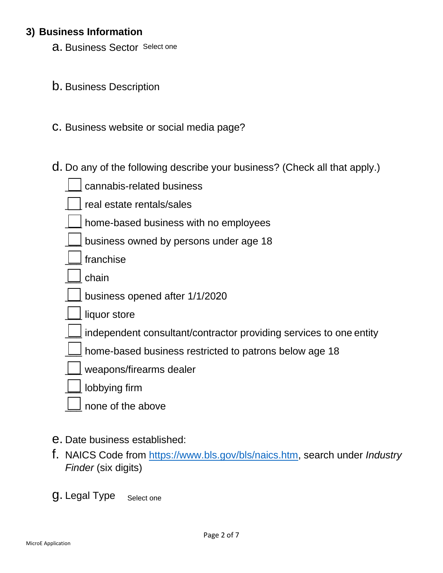#### **3) Business Information**

**a.** Business Sector Select one

- b. Business Description
- c. Business website or social media page?
- d. Do any of the following describe your business? (Check all that apply.)

| cannabis-related business                                          |
|--------------------------------------------------------------------|
| real estate rentals/sales                                          |
| home-based business with no employees                              |
| business owned by persons under age 18                             |
| franchise                                                          |
| chain                                                              |
| business opened after 1/1/2020                                     |
| liquor store                                                       |
| independent consultant/contractor providing services to one entity |
| home-based business restricted to patrons below age 18             |
| weapons/firearms dealer                                            |
| lobbying firm                                                      |
| none of the above                                                  |

- e. Date business established:
- f. NAICS Code from [https://www.bls.gov/bls/naics.htm,](https://www.bls.gov/bls/naics.htm) search under *Industry Finder* (six digits)
- g. Legal Type Select one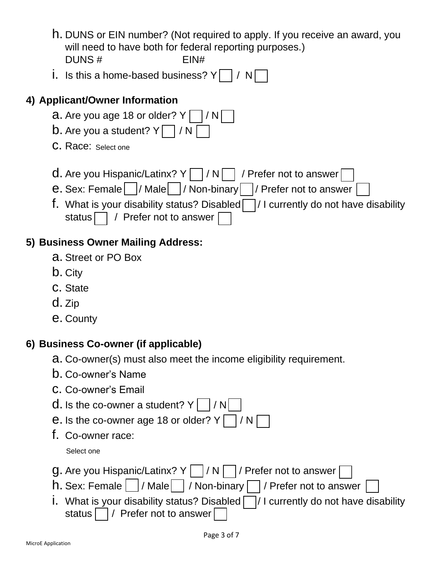- h. DUNS or EIN number? (Not required to apply. If you receive an award, you will need to have both for federal reporting purposes.) DUNS # EIN#
- i. Is this a home-based business?  $Y \mid / N$

### **4) Applicant/Owner Information**

- **a.** Are you age 18 or older?  $Y \mid |/N|$
- **b.** Are you a student?  $Y \cap I$  / N
- C. Race: Select one
- **d.** Are you Hispanic/Latinx?  $Y \cap I / N \cap I$  / Prefer not to answer
- e. Sex: Female | / Male | / Non-binary | / Prefer not to answer
- f. What is your disability status? Disabled  $\Box$  / I currently do not have disability status  $\Box$  / Prefer not to answer |

# **5) Business Owner Mailing Address:**

- a. Street or PO Box
- b. City
- c. State
- d. Zip
- e. County

# **6) Business Co-owner (if applicable)**

- a. Co-owner(s) must also meet the income eligibility requirement.
- b. Co-owner's Name
- c. Co-owner's Email
- **d.** Is the co-owner a student?  $Y \cap Y$
- **e.** Is the co-owner age 18 or older?  $Y \cap I$  / N
- f. Co-owner race:

Select one

- **g.** Are you Hispanic/Latinx?  $Y \cap / N \cap /$  Prefer not to answer
- $h.$  Sex: Female  $|$  / Male  $|$  / Non-binary  $\Box$  / Prefer not to answer
- i. What is your disability status? Disabled  $\Box/$  I currently do not have disability status | | | Prefer not to answer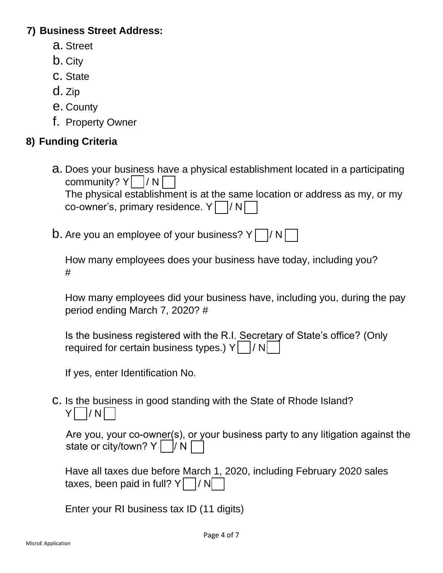#### **7) Business Street Address:**

- a. Street
- b. City
- c. State
- d. Zip
- e. County
- f. Property Owner

### **8) Funding Criteria**

- a. Does your business have a physical establishment located in a participating community?  $Y \cap N$ The physical establishment is at the same location or address as my, or my co-owner's, primary residence.  $Y \cap / N$
- **b.** Are you an employee of your business?  $Y \cap Y$

How many employees does your business have today, including you? #

How many employees did your business have, including you, during the pay period ending March 7, 2020? #

Is the business registered with the R.I. Secretary of State's office? (Only required for certain business types.)  $Y \mid /N$ 

If yes, enter Identification No.

c. Is the business in good standing with the State of Rhode Island?  $Y$  / N

| Are you, your co-owner(s), or your business party to any litigation against the |  |
|---------------------------------------------------------------------------------|--|
| state or city/town? $Y \cap N \cap$                                             |  |

|                                        |  |  | Have all taxes due before March 1, 2020, including February 2020 sales |
|----------------------------------------|--|--|------------------------------------------------------------------------|
| taxes, been paid in full? $Y \cap / N$ |  |  |                                                                        |

Enter your RI business tax ID (11 digits)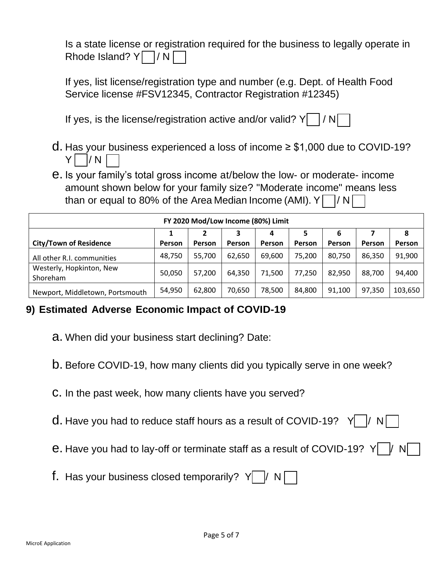Is a state license or registration required for the business to legally operate in Rhode Island?  $Y \cap N$ 

If yes, list license/registration type and number (e.g. Dept. of Health Food Service license #FSV12345, Contractor Registration #12345)

If yes, is the license/registration active and/or valid?  $Y \mid /N$ 

- d. Has your business experienced a loss of income ≥ \$1,000 due to COVID-19?  $Y \mid /N \mid$
- e. Is your family's total gross income at/below the low- or moderate- income amount shown below for your family size? "Moderate income" means less than or equal to 80% of the Area Median Income (AMI).  $Y \cap / N$

| FY 2020 Mod/Low Income (80%) Limit   |        |               |        |        |               |        |        |         |
|--------------------------------------|--------|---------------|--------|--------|---------------|--------|--------|---------|
|                                      |        |               |        | 4      | 5             | 6      |        | 8       |
| <b>City/Town of Residence</b>        | Person | <b>Person</b> | Person | Person | <b>Person</b> | Person | Person | Person  |
| All other R.I. communities           | 48,750 | 55,700        | 62,650 | 69,600 | 75,200        | 80,750 | 86,350 | 91,900  |
| Westerly, Hopkinton, New<br>Shoreham | 50,050 | 57,200        | 64,350 | 71,500 | 77,250        | 82,950 | 88,700 | 94,400  |
| Newport, Middletown, Portsmouth      | 54.950 | 62,800        | 70,650 | 78,500 | 84,800        | 91,100 | 97,350 | 103,650 |

# **9) Estimated Adverse Economic Impact of COVID-19**

- a. When did your business start declining? Date:
- b. Before COVID-19, how many clients did you typically serve in one week?
- c. In the past week, how many clients have you served?
- **d.** Have you had to reduce staff hours as a result of COVID-19? Y |  $\sqrt{N}$
- e. Have you had to lay-off or terminate staff as a result of COVID-19?  $Y$
- f. Has your business closed temporarily?  $Y \mid / N$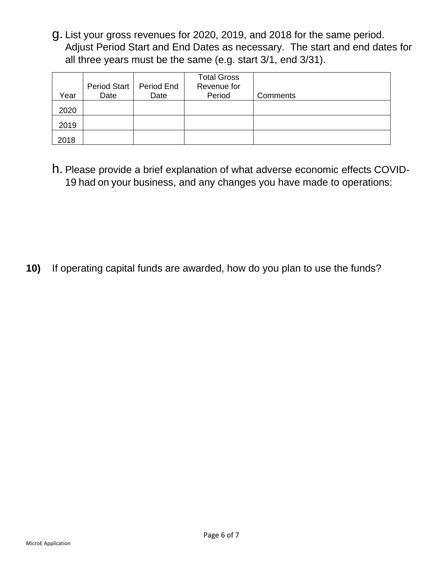g. List your gross revenues for 2020, 2019, and 2018 for the same period. Adjust Period Start and End Dates as necessary. The start and end dates for all three years must be the same (e.g. start 3/1, end 3/31).

|      |      | Period Start   Period End | <b>Total Gross</b><br>Revenue for |                 |
|------|------|---------------------------|-----------------------------------|-----------------|
| Year | Date | Date                      | Period                            | <b>Comments</b> |
| 2020 |      |                           |                                   |                 |
| 2019 |      |                           |                                   |                 |
| 2018 |      |                           |                                   |                 |

h. Please provide a brief explanation of what adverse economic effects COVID-19 had on your business, and any changes you have made to operations:

**10)** If operating capital funds are awarded, how do you plan to use the funds?